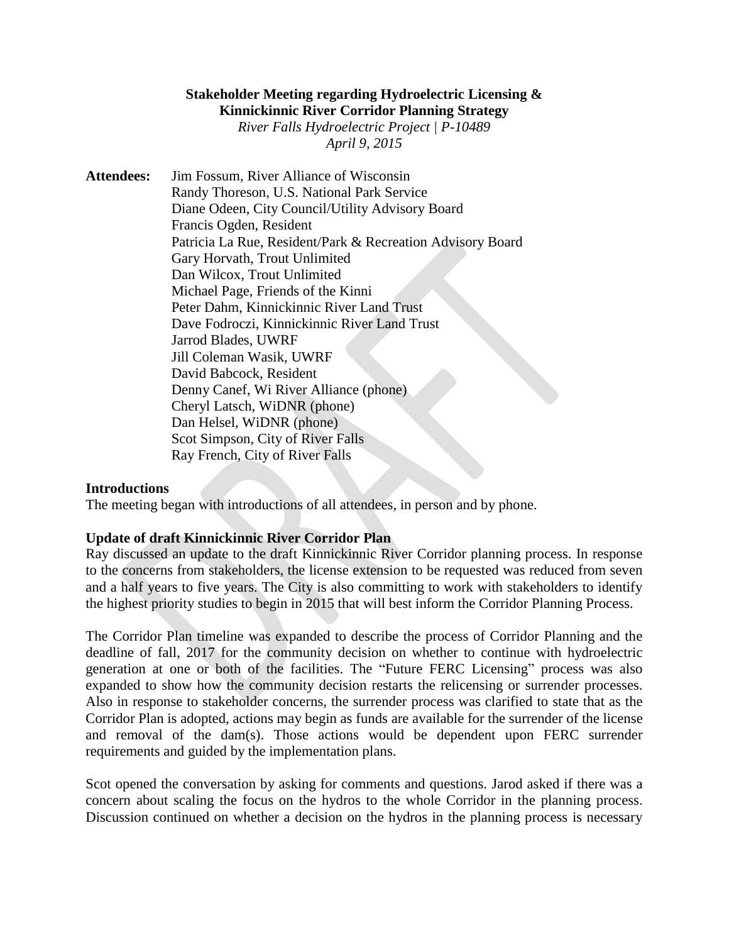# **Stakeholder Meeting regarding Hydroelectric Licensing & Kinnickinnic River Corridor Planning Strategy** *River Falls Hydroelectric Project | P-10489 April 9, 2015*

**Attendees:** Jim Fossum, River Alliance of Wisconsin Randy Thoreson, U.S. National Park Service Diane Odeen, City Council/Utility Advisory Board Francis Ogden, Resident Patricia La Rue, Resident/Park & Recreation Advisory Board Gary Horvath, Trout Unlimited Dan Wilcox, Trout Unlimited Michael Page, Friends of the Kinni Peter Dahm, Kinnickinnic River Land Trust Dave Fodroczi, Kinnickinnic River Land Trust Jarrod Blades, UWRF Jill Coleman Wasik, UWRF David Babcock, Resident Denny Canef, Wi River Alliance (phone) Cheryl Latsch, WiDNR (phone) Dan Helsel, WiDNR (phone) Scot Simpson, City of River Falls Ray French, City of River Falls

## **Introductions**

The meeting began with introductions of all attendees, in person and by phone.

## **Update of draft Kinnickinnic River Corridor Plan**

Ray discussed an update to the draft Kinnickinnic River Corridor planning process. In response to the concerns from stakeholders, the license extension to be requested was reduced from seven and a half years to five years. The City is also committing to work with stakeholders to identify the highest priority studies to begin in 2015 that will best inform the Corridor Planning Process.

The Corridor Plan timeline was expanded to describe the process of Corridor Planning and the deadline of fall, 2017 for the community decision on whether to continue with hydroelectric generation at one or both of the facilities. The "Future FERC Licensing" process was also expanded to show how the community decision restarts the relicensing or surrender processes. Also in response to stakeholder concerns, the surrender process was clarified to state that as the Corridor Plan is adopted, actions may begin as funds are available for the surrender of the license and removal of the dam(s). Those actions would be dependent upon FERC surrender requirements and guided by the implementation plans.

Scot opened the conversation by asking for comments and questions. Jarod asked if there was a concern about scaling the focus on the hydros to the whole Corridor in the planning process. Discussion continued on whether a decision on the hydros in the planning process is necessary